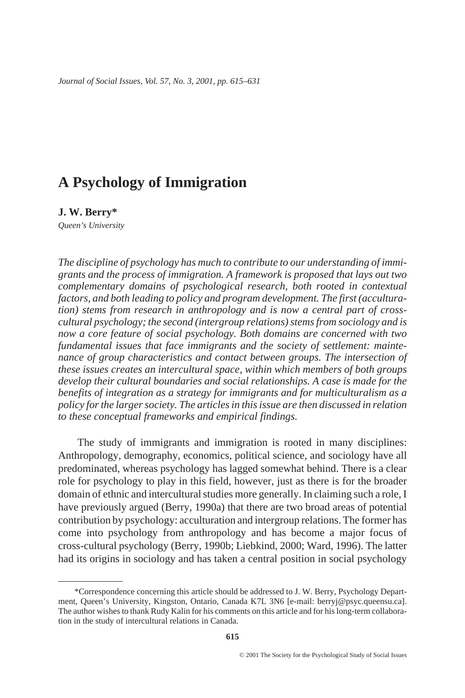**J. W. Berry\***

*Queen's University*

*The discipline of psychology has much to contribute to our understanding of immigrants and the process of immigration. A framework is proposed that lays out two complementary domains of psychological research, both rooted in contextual factors, and both leading to policy and program development. The first (acculturation) stems from research in anthropology and is now a central part of crosscultural psychology; the second (intergroup relations) stems from sociology and is now a core feature of social psychology. Both domains are concerned with two fundamental issues that face immigrants and the society of settlement: maintenance of group characteristics and contact between groups. The intersection of these issues creates an intercultural space, within which members of both groups develop their cultural boundaries and social relationships. A case is made for the benefits of integration as a strategy for immigrants and for multiculturalism as a policy for the larger society. The articles in this issue are then discussed in relation to these conceptual frameworks and empirical findings.*

The study of immigrants and immigration is rooted in many disciplines: Anthropology, demography, economics, political science, and sociology have all predominated, whereas psychology has lagged somewhat behind. There is a clear role for psychology to play in this field, however, just as there is for the broader domain of ethnic and intercultural studies more generally. In claiming such a role, I have previously argued (Berry, 1990a) that there are two broad areas of potential contribution by psychology: acculturation and intergroup relations. The former has come into psychology from anthropology and has become a major focus of cross-cultural psychology (Berry, 1990b; Liebkind, 2000; Ward, 1996). The latter had its origins in sociology and has taken a central position in social psychology

<sup>\*</sup>Correspondence concerning this article should be addressed to J. W. Berry, Psychology Department, Queen's University, Kingston, Ontario, Canada K7L 3N6 [e-mail: berryj@psyc.queensu.ca]. The author wishes to thank Rudy Kalin for his comments on this article and for his long-term collaboration in the study of intercultural relations in Canada.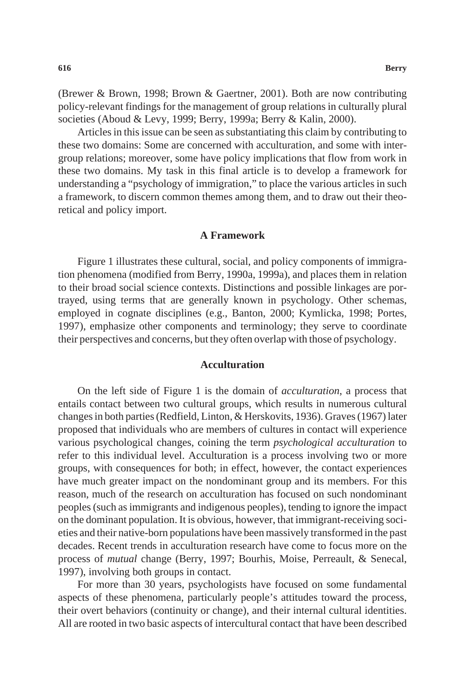(Brewer & Brown, 1998; Brown & Gaertner, 2001). Both are now contributing policy-relevant findings for the management of group relations in culturally plural societies (Aboud & Levy, 1999; Berry, 1999a; Berry & Kalin, 2000).

Articles in this issue can be seen as substantiating this claim by contributing to these two domains: Some are concerned with acculturation, and some with intergroup relations; moreover, some have policy implications that flow from work in these two domains. My task in this final article is to develop a framework for understanding a "psychology of immigration," to place the various articles in such a framework, to discern common themes among them, and to draw out their theoretical and policy import.

# **A Framework**

Figure 1 illustrates these cultural, social, and policy components of immigration phenomena (modified from Berry, 1990a, 1999a), and places them in relation to their broad social science contexts. Distinctions and possible linkages are portrayed, using terms that are generally known in psychology. Other schemas, employed in cognate disciplines (e.g., Banton, 2000; Kymlicka, 1998; Portes, 1997), emphasize other components and terminology; they serve to coordinate their perspectives and concerns, but they often overlap with those of psychology.

## **Acculturation**

On the left side of Figure 1 is the domain of *acculturation*, a process that entails contact between two cultural groups, which results in numerous cultural changes in both parties (Redfield, Linton, & Herskovits, 1936). Graves (1967) later proposed that individuals who are members of cultures in contact will experience various psychological changes, coining the term *psychological acculturation* to refer to this individual level. Acculturation is a process involving two or more groups, with consequences for both; in effect, however, the contact experiences have much greater impact on the nondominant group and its members. For this reason, much of the research on acculturation has focused on such nondominant peoples (such as immigrants and indigenous peoples), tending to ignore the impact on the dominant population. It is obvious, however, that immigrant-receiving societies and their native-born populations have been massively transformed in the past decades. Recent trends in acculturation research have come to focus more on the process of *mutual* change (Berry, 1997; Bourhis, Moise, Perreault, & Senecal, 1997), involving both groups in contact.

For more than 30 years, psychologists have focused on some fundamental aspects of these phenomena, particularly people's attitudes toward the process, their overt behaviors (continuity or change), and their internal cultural identities. All are rooted in two basic aspects of intercultural contact that have been described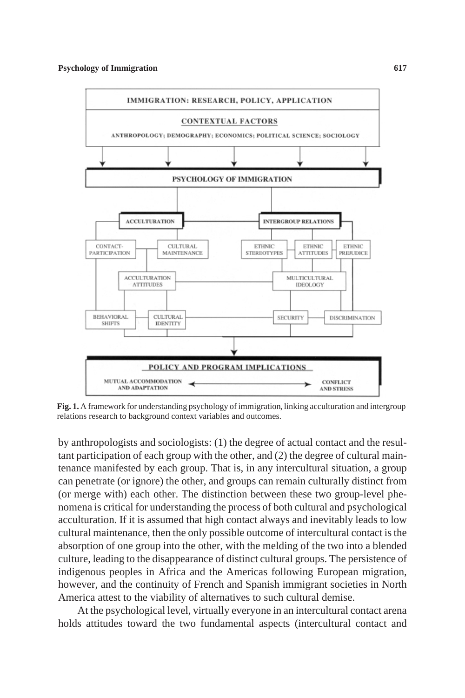

**Fig. 1.** A framework for understanding psychology of immigration, linking acculturation and intergroup relations research to background context variables and outcomes.

by anthropologists and sociologists: (1) the degree of actual contact and the resultant participation of each group with the other, and (2) the degree of cultural maintenance manifested by each group. That is, in any intercultural situation, a group can penetrate (or ignore) the other, and groups can remain culturally distinct from (or merge with) each other. The distinction between these two group-level phenomena is critical for understanding the process of both cultural and psychological acculturation. If it is assumed that high contact always and inevitably leads to low cultural maintenance, then the only possible outcome of intercultural contact is the absorption of one group into the other, with the melding of the two into a blended culture, leading to the disappearance of distinct cultural groups. The persistence of indigenous peoples in Africa and the Americas following European migration, however, and the continuity of French and Spanish immigrant societies in North America attest to the viability of alternatives to such cultural demise.

At the psychological level, virtually everyone in an intercultural contact arena holds attitudes toward the two fundamental aspects (intercultural contact and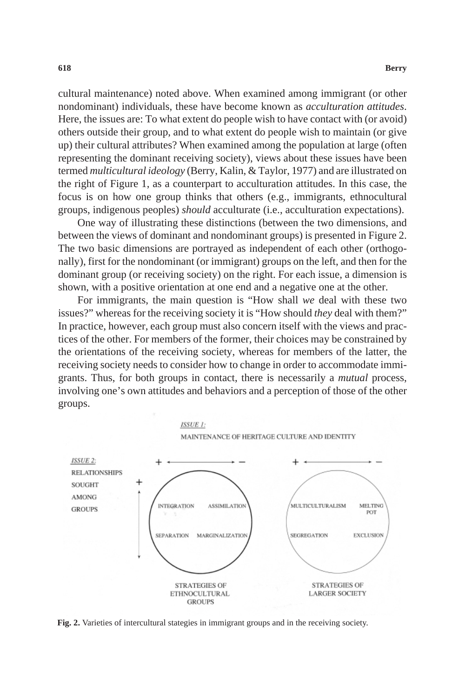cultural maintenance) noted above. When examined among immigrant (or other nondominant) individuals, these have become known as *acculturation attitudes*. Here, the issues are: To what extent do people wish to have contact with (or avoid) others outside their group, and to what extent do people wish to maintain (or give up) their cultural attributes? When examined among the population at large (often representing the dominant receiving society), views about these issues have been termed *multicultural ideology* (Berry, Kalin, & Taylor, 1977) and are illustrated on the right of Figure 1, as a counterpart to acculturation attitudes. In this case, the focus is on how one group thinks that others (e.g., immigrants, ethnocultural groups, indigenous peoples) *should* acculturate (i.e., acculturation expectations).

One way of illustrating these distinctions (between the two dimensions, and between the views of dominant and nondominant groups) is presented in Figure 2. The two basic dimensions are portrayed as independent of each other (orthogonally), first for the nondominant (or immigrant) groups on the left, and then for the dominant group (or receiving society) on the right. For each issue, a dimension is shown, with a positive orientation at one end and a negative one at the other.

For immigrants, the main question is "How shall *we* deal with these two issues?" whereas for the receiving society it is "How should *they* deal with them?" In practice, however, each group must also concern itself with the views and practices of the other. For members of the former, their choices may be constrained by the orientations of the receiving society, whereas for members of the latter, the receiving society needs to consider how to change in order to accommodate immigrants. Thus, for both groups in contact, there is necessarily a *mutual* process, involving one's own attitudes and behaviors and a perception of those of the other groups.



**Fig. 2.** Varieties of intercultural stategies in immigrant groups and in the receiving society.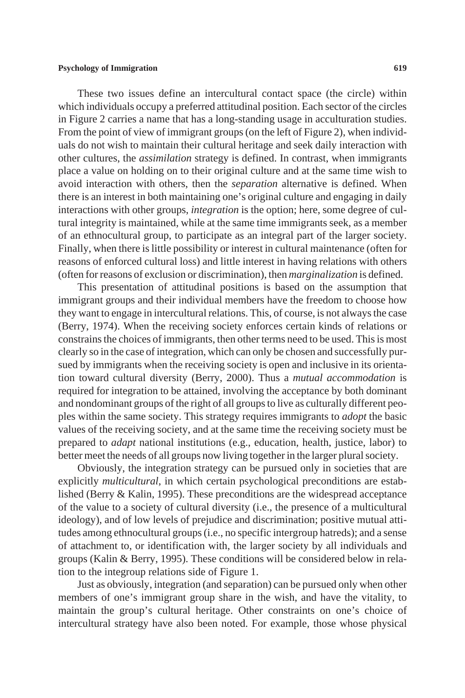These two issues define an intercultural contact space (the circle) within which individuals occupy a preferred attitudinal position. Each sector of the circles in Figure 2 carries a name that has a long-standing usage in acculturation studies. From the point of view of immigrant groups (on the left of Figure 2), when individuals do not wish to maintain their cultural heritage and seek daily interaction with other cultures, the *assimilation* strategy is defined. In contrast, when immigrants place a value on holding on to their original culture and at the same time wish to avoid interaction with others, then the *separation* alternative is defined. When there is an interest in both maintaining one's original culture and engaging in daily interactions with other groups, *integration* is the option; here, some degree of cultural integrity is maintained, while at the same time immigrants seek, as a member of an ethnocultural group, to participate as an integral part of the larger society. Finally, when there is little possibility or interest in cultural maintenance (often for reasons of enforced cultural loss) and little interest in having relations with others (often for reasons of exclusion or discrimination), then *marginalization* is defined.

This presentation of attitudinal positions is based on the assumption that immigrant groups and their individual members have the freedom to choose how they want to engage in intercultural relations. This, of course, is not always the case (Berry, 1974). When the receiving society enforces certain kinds of relations or constrains the choices of immigrants, then other terms need to be used. This is most clearly so in the case of integration, which can only be chosen and successfully pursued by immigrants when the receiving society is open and inclusive in its orientation toward cultural diversity (Berry, 2000). Thus a *mutual accommodation* is required for integration to be attained, involving the acceptance by both dominant and nondominant groups of the right of all groups to live as culturally different peoples within the same society. This strategy requires immigrants to *adopt* the basic values of the receiving society, and at the same time the receiving society must be prepared to *adapt* national institutions (e.g., education, health, justice, labor) to better meet the needs of all groups now living together in the larger plural society.

Obviously, the integration strategy can be pursued only in societies that are explicitly *multicultural*, in which certain psychological preconditions are established (Berry & Kalin, 1995). These preconditions are the widespread acceptance of the value to a society of cultural diversity (i.e., the presence of a multicultural ideology), and of low levels of prejudice and discrimination; positive mutual attitudes among ethnocultural groups (i.e., no specific intergroup hatreds); and a sense of attachment to, or identification with, the larger society by all individuals and groups (Kalin & Berry, 1995). These conditions will be considered below in relation to the integroup relations side of Figure 1.

Just as obviously, integration (and separation) can be pursued only when other members of one's immigrant group share in the wish, and have the vitality, to maintain the group's cultural heritage. Other constraints on one's choice of intercultural strategy have also been noted. For example, those whose physical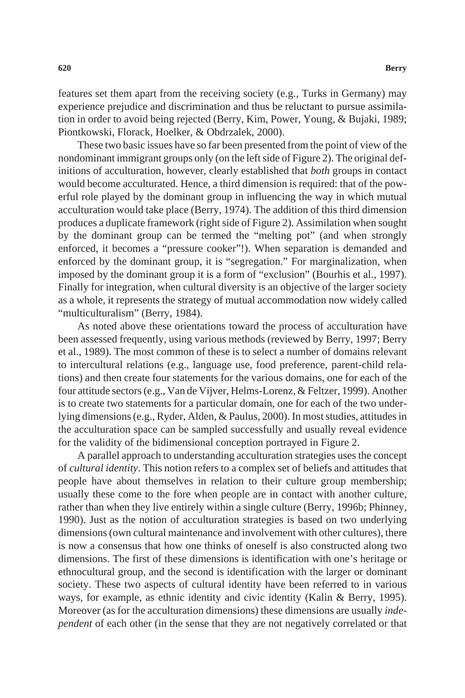features set them apart from the receiving society (e.g., Turks in Germany) may experience prejudice and discrimination and thus be reluctant to pursue assimilation in order to avoid being rejected (Berry, Kim, Power, Young, & Bujaki, 1989; Piontkowski, Florack, Hoelker, & Obdrzalek, 2000).

These two basic issues have so far been presented from the point of view of the nondominant immigrant groups only (on the left side of Figure 2). The original definitions of acculturation, however, clearly established that *both* groups in contact would become acculturated. Hence, a third dimension is required: that of the powerful role played by the dominant group in influencing the way in which mutual acculturation would take place (Berry, 1974). The addition of this third dimension produces a duplicate framework (right side of Figure 2). Assimilation when sought by the dominant group can be termed the "melting pot" (and when strongly enforced, it becomes a "pressure cooker"!). When separation is demanded and enforced by the dominant group, it is "segregation." For marginalization, when imposed by the dominant group it is a form of "exclusion" (Bourhis et al., 1997). Finally for integration, when cultural diversity is an objective of the larger society as a whole, it represents the strategy of mutual accommodation now widely called "multiculturalism" (Berry, 1984).

As noted above these orientations toward the process of acculturation have been assessed frequently, using various methods (reviewed by Berry, 1997; Berry et al., 1989). The most common of these is to select a number of domains relevant to intercultural relations (e.g., language use, food preference, parent-child relations) and then create four statements for the various domains, one for each of the four attitude sectors (e.g., Van de Vijver, Helms-Lorenz, & Feltzer, 1999). Another is to create two statements for a particular domain, one for each of the two underlying dimensions (e.g., Ryder, Alden, & Paulus, 2000). In most studies, attitudes in the acculturation space can be sampled successfully and usually reveal evidence for the validity of the bidimensional conception portrayed in Figure 2.

A parallel approach to understanding acculturation strategies uses the concept of *cultural identity*. This notion refers to a complex set of beliefs and attitudes that people have about themselves in relation to their culture group membership; usually these come to the fore when people are in contact with another culture, rather than when they live entirely within a single culture (Berry, 1996b; Phinney, 1990). Just as the notion of acculturation strategies is based on two underlying dimensions (own cultural maintenance and involvement with other cultures), there is now a consensus that how one thinks of oneself is also constructed along two dimensions. The first of these dimensions is identification with one's heritage or ethnocultural group, and the second is identification with the larger or dominant society. These two aspects of cultural identity have been referred to in various ways, for example, as ethnic identity and civic identity (Kalin & Berry, 1995). Moreover (as for the acculturation dimensions) these dimensions are usually *independent* of each other (in the sense that they are not negatively correlated or that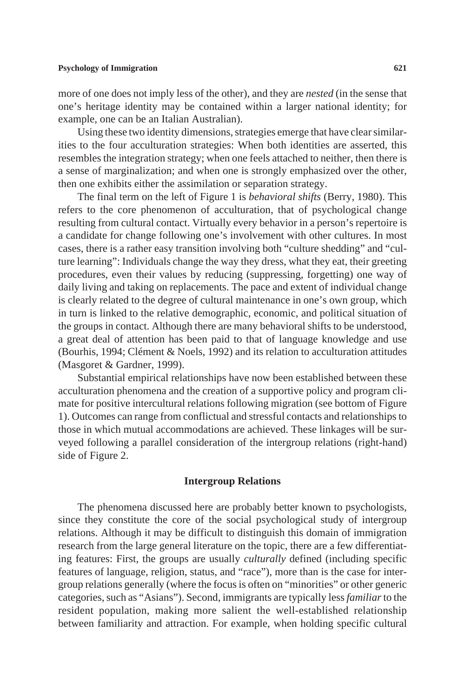more of one does not imply less of the other), and they are *nested* (in the sense that one's heritage identity may be contained within a larger national identity; for example, one can be an Italian Australian).

Using these two identity dimensions, strategies emerge that have clear similarities to the four acculturation strategies: When both identities are asserted, this resembles the integration strategy; when one feels attached to neither, then there is a sense of marginalization; and when one is strongly emphasized over the other, then one exhibits either the assimilation or separation strategy.

The final term on the left of Figure 1 is *behavioral shifts* (Berry, 1980). This refers to the core phenomenon of acculturation, that of psychological change resulting from cultural contact. Virtually every behavior in a person's repertoire is a candidate for change following one's involvement with other cultures. In most cases, there is a rather easy transition involving both "culture shedding" and "culture learning": Individuals change the way they dress, what they eat, their greeting procedures, even their values by reducing (suppressing, forgetting) one way of daily living and taking on replacements. The pace and extent of individual change is clearly related to the degree of cultural maintenance in one's own group, which in turn is linked to the relative demographic, economic, and political situation of the groups in contact. Although there are many behavioral shifts to be understood, a great deal of attention has been paid to that of language knowledge and use (Bourhis, 1994; Clément & Noels, 1992) and its relation to acculturation attitudes (Masgoret & Gardner, 1999).

Substantial empirical relationships have now been established between these acculturation phenomena and the creation of a supportive policy and program climate for positive intercultural relations following migration (see bottom of Figure 1). Outcomes can range from conflictual and stressful contacts and relationships to those in which mutual accommodations are achieved. These linkages will be surveyed following a parallel consideration of the intergroup relations (right-hand) side of Figure 2.

# **Intergroup Relations**

The phenomena discussed here are probably better known to psychologists, since they constitute the core of the social psychological study of intergroup relations. Although it may be difficult to distinguish this domain of immigration research from the large general literature on the topic, there are a few differentiating features: First, the groups are usually *culturally* defined (including specific features of language, religion, status, and "race"), more than is the case for intergroup relations generally (where the focus is often on "minorities" or other generic categories, such as "Asians"). Second, immigrants are typically less*familiar*to the resident population, making more salient the well-established relationship between familiarity and attraction. For example, when holding specific cultural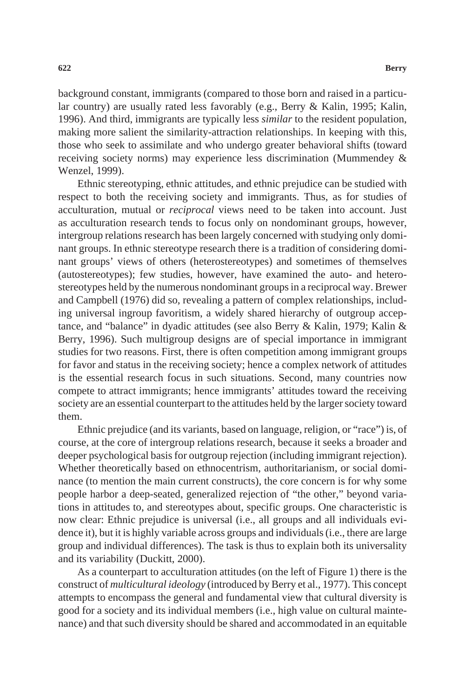background constant, immigrants (compared to those born and raised in a particular country) are usually rated less favorably (e.g., Berry & Kalin, 1995; Kalin, 1996). And third, immigrants are typically less *similar* to the resident population, making more salient the similarity-attraction relationships. In keeping with this, those who seek to assimilate and who undergo greater behavioral shifts (toward receiving society norms) may experience less discrimination (Mummendey & Wenzel, 1999).

Ethnic stereotyping, ethnic attitudes, and ethnic prejudice can be studied with respect to both the receiving society and immigrants. Thus, as for studies of acculturation, mutual or *reciprocal* views need to be taken into account. Just as acculturation research tends to focus only on nondominant groups, however, intergroup relations research has been largely concerned with studying only dominant groups. In ethnic stereotype research there is a tradition of considering dominant groups' views of others (heterostereotypes) and sometimes of themselves (autostereotypes); few studies, however, have examined the auto- and heterostereotypes held by the numerous nondominant groups in a reciprocal way. Brewer and Campbell (1976) did so, revealing a pattern of complex relationships, including universal ingroup favoritism, a widely shared hierarchy of outgroup acceptance, and "balance" in dyadic attitudes (see also Berry & Kalin, 1979; Kalin & Berry, 1996). Such multigroup designs are of special importance in immigrant studies for two reasons. First, there is often competition among immigrant groups for favor and status in the receiving society; hence a complex network of attitudes is the essential research focus in such situations. Second, many countries now compete to attract immigrants; hence immigrants' attitudes toward the receiving society are an essential counterpart to the attitudes held by the larger society toward them.

Ethnic prejudice (and its variants, based on language, religion, or "race") is, of course, at the core of intergroup relations research, because it seeks a broader and deeper psychological basis for outgroup rejection (including immigrant rejection). Whether theoretically based on ethnocentrism, authoritarianism, or social dominance (to mention the main current constructs), the core concern is for why some people harbor a deep-seated, generalized rejection of "the other," beyond variations in attitudes to, and stereotypes about, specific groups. One characteristic is now clear: Ethnic prejudice is universal (i.e., all groups and all individuals evidence it), but it is highly variable across groups and individuals (i.e., there are large group and individual differences). The task is thus to explain both its universality and its variability (Duckitt, 2000).

As a counterpart to acculturation attitudes (on the left of Figure 1) there is the construct of *multicultural ideology* (introduced by Berry et al., 1977). This concept attempts to encompass the general and fundamental view that cultural diversity is good for a society and its individual members (i.e., high value on cultural maintenance) and that such diversity should be shared and accommodated in an equitable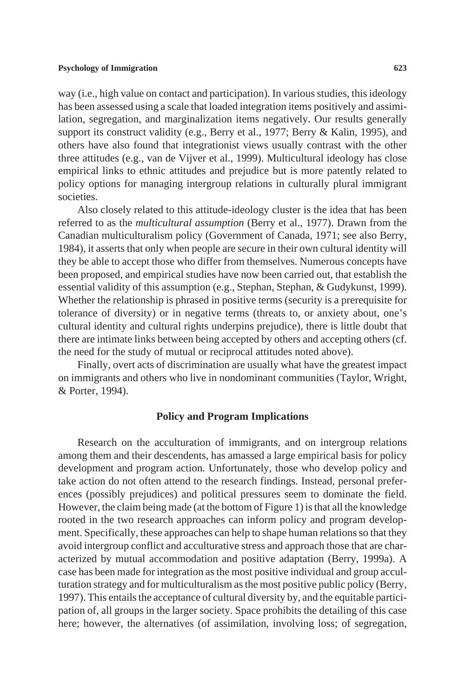way (i.e., high value on contact and participation). In various studies, this ideology has been assessed using a scale that loaded integration items positively and assimilation, segregation, and marginalization items negatively. Our results generally support its construct validity (e.g., Berry et al., 1977; Berry & Kalin, 1995), and others have also found that integrationist views usually contrast with the other three attitudes (e.g., van de Vijver et al., 1999). Multicultural ideology has close empirical links to ethnic attitudes and prejudice but is more patently related to policy options for managing intergroup relations in culturally plural immigrant societies.

Also closely related to this attitude-ideology cluster is the idea that has been referred to as the *multicultural assumption* (Berry et al., 1977). Drawn from the Canadian multiculturalism policy (Government of Canada, 1971; see also Berry, 1984), it asserts that only when people are secure in their own cultural identity will they be able to accept those who differ from themselves. Numerous concepts have been proposed, and empirical studies have now been carried out, that establish the essential validity of this assumption (e.g., Stephan, Stephan, & Gudykunst, 1999). Whether the relationship is phrased in positive terms (security is a prerequisite for tolerance of diversity) or in negative terms (threats to, or anxiety about, one's cultural identity and cultural rights underpins prejudice), there is little doubt that there are intimate links between being accepted by others and accepting others (cf. the need for the study of mutual or reciprocal attitudes noted above).

Finally, overt acts of discrimination are usually what have the greatest impact on immigrants and others who live in nondominant communities (Taylor, Wright, & Porter, 1994).

## **Policy and Program Implications**

Research on the acculturation of immigrants, and on intergroup relations among them and their descendents, has amassed a large empirical basis for policy development and program action. Unfortunately, those who develop policy and take action do not often attend to the research findings. Instead, personal preferences (possibly prejudices) and political pressures seem to dominate the field. However, the claim being made (at the bottom of Figure 1) is that all the knowledge rooted in the two research approaches can inform policy and program development. Specifically, these approaches can help to shape human relations so that they avoid intergroup conflict and acculturative stress and approach those that are characterized by mutual accommodation and positive adaptation (Berry, 1999a). A case has been made for integration as the most positive individual and group acculturation strategy and for multiculturalism as the most positive public policy (Berry, 1997). This entails the acceptance of cultural diversity by, and the equitable participation of, all groups in the larger society. Space prohibits the detailing of this case here; however, the alternatives (of assimilation, involving loss; of segregation,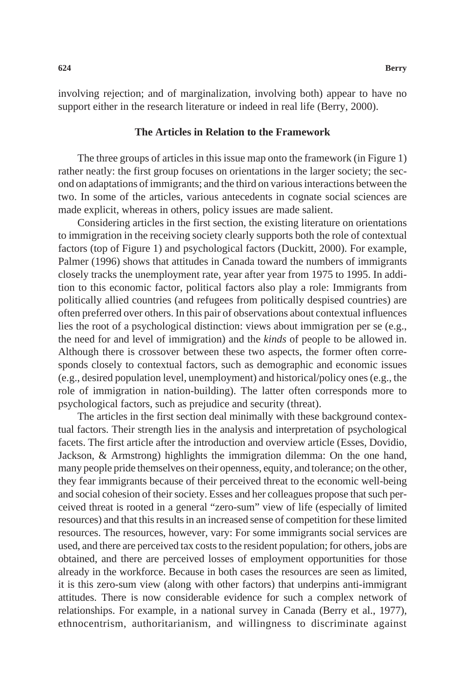involving rejection; and of marginalization, involving both) appear to have no support either in the research literature or indeed in real life (Berry, 2000).

## **The Articles in Relation to the Framework**

The three groups of articles in this issue map onto the framework (in Figure 1) rather neatly: the first group focuses on orientations in the larger society; the second on adaptations of immigrants; and the third on various interactions between the two. In some of the articles, various antecedents in cognate social sciences are made explicit, whereas in others, policy issues are made salient.

Considering articles in the first section, the existing literature on orientations to immigration in the receiving society clearly supports both the role of contextual factors (top of Figure 1) and psychological factors (Duckitt, 2000). For example, Palmer (1996) shows that attitudes in Canada toward the numbers of immigrants closely tracks the unemployment rate, year after year from 1975 to 1995. In addition to this economic factor, political factors also play a role: Immigrants from politically allied countries (and refugees from politically despised countries) are often preferred over others. In this pair of observations about contextual influences lies the root of a psychological distinction: views about immigration per se (e.g., the need for and level of immigration) and the *kinds* of people to be allowed in. Although there is crossover between these two aspects, the former often corresponds closely to contextual factors, such as demographic and economic issues (e.g., desired population level, unemployment) and historical/policy ones (e.g., the role of immigration in nation-building). The latter often corresponds more to psychological factors, such as prejudice and security (threat).

The articles in the first section deal minimally with these background contextual factors. Their strength lies in the analysis and interpretation of psychological facets. The first article after the introduction and overview article (Esses, Dovidio, Jackson, & Armstrong) highlights the immigration dilemma: On the one hand, many people pride themselves on their openness, equity, and tolerance; on the other, they fear immigrants because of their perceived threat to the economic well-being and social cohesion of their society. Esses and her colleagues propose that such perceived threat is rooted in a general "zero-sum" view of life (especially of limited resources) and that this results in an increased sense of competition for these limited resources. The resources, however, vary: For some immigrants social services are used, and there are perceived tax costs to the resident population; for others, jobs are obtained, and there are perceived losses of employment opportunities for those already in the workforce. Because in both cases the resources are seen as limited, it is this zero-sum view (along with other factors) that underpins anti-immigrant attitudes. There is now considerable evidence for such a complex network of relationships. For example, in a national survey in Canada (Berry et al., 1977), ethnocentrism, authoritarianism, and willingness to discriminate against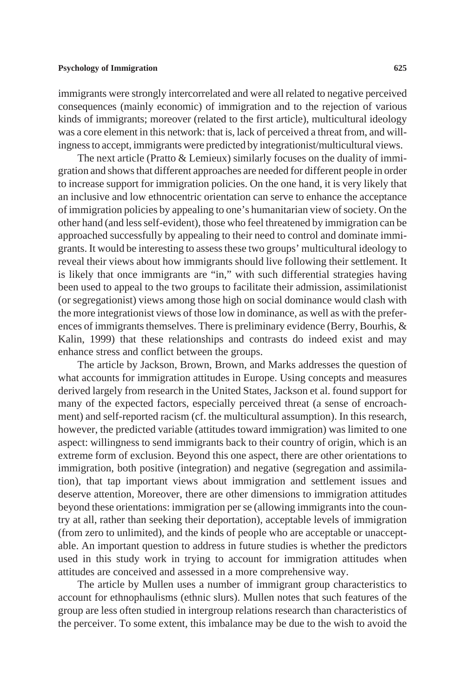immigrants were strongly intercorrelated and were all related to negative perceived consequences (mainly economic) of immigration and to the rejection of various kinds of immigrants; moreover (related to the first article), multicultural ideology was a core element in this network: that is, lack of perceived a threat from, and willingness to accept, immigrants were predicted by integrationist/multicultural views.

The next article (Pratto & Lemieux) similarly focuses on the duality of immigration and shows that different approaches are needed for different people in order to increase support for immigration policies. On the one hand, it is very likely that an inclusive and low ethnocentric orientation can serve to enhance the acceptance of immigration policies by appealing to one's humanitarian view of society. On the other hand (and less self-evident), those who feel threatened by immigration can be approached successfully by appealing to their need to control and dominate immigrants. It would be interesting to assess these two groups' multicultural ideology to reveal their views about how immigrants should live following their settlement. It is likely that once immigrants are "in," with such differential strategies having been used to appeal to the two groups to facilitate their admission, assimilationist (or segregationist) views among those high on social dominance would clash with the more integrationist views of those low in dominance, as well as with the preferences of immigrants themselves. There is preliminary evidence (Berry, Bourhis, & Kalin, 1999) that these relationships and contrasts do indeed exist and may enhance stress and conflict between the groups.

The article by Jackson, Brown, Brown, and Marks addresses the question of what accounts for immigration attitudes in Europe. Using concepts and measures derived largely from research in the United States, Jackson et al. found support for many of the expected factors, especially perceived threat (a sense of encroachment) and self-reported racism (cf. the multicultural assumption). In this research, however, the predicted variable (attitudes toward immigration) was limited to one aspect: willingness to send immigrants back to their country of origin, which is an extreme form of exclusion. Beyond this one aspect, there are other orientations to immigration, both positive (integration) and negative (segregation and assimilation), that tap important views about immigration and settlement issues and deserve attention, Moreover, there are other dimensions to immigration attitudes beyond these orientations: immigration per se (allowing immigrants into the country at all, rather than seeking their deportation), acceptable levels of immigration (from zero to unlimited), and the kinds of people who are acceptable or unacceptable. An important question to address in future studies is whether the predictors used in this study work in trying to account for immigration attitudes when attitudes are conceived and assessed in a more comprehensive way.

The article by Mullen uses a number of immigrant group characteristics to account for ethnophaulisms (ethnic slurs). Mullen notes that such features of the group are less often studied in intergroup relations research than characteristics of the perceiver. To some extent, this imbalance may be due to the wish to avoid the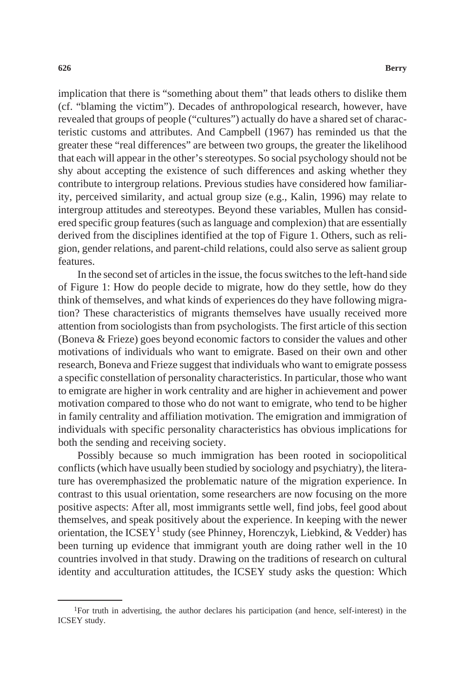implication that there is "something about them" that leads others to dislike them (cf. "blaming the victim"). Decades of anthropological research, however, have revealed that groups of people ("cultures") actually do have a shared set of characteristic customs and attributes. And Campbell (1967) has reminded us that the greater these "real differences" are between two groups, the greater the likelihood that each will appear in the other's stereotypes. So social psychology should not be shy about accepting the existence of such differences and asking whether they contribute to intergroup relations. Previous studies have considered how familiarity, perceived similarity, and actual group size (e.g., Kalin, 1996) may relate to intergroup attitudes and stereotypes. Beyond these variables, Mullen has considered specific group features (such as language and complexion) that are essentially derived from the disciplines identified at the top of Figure 1. Others, such as religion, gender relations, and parent-child relations, could also serve as salient group features.

In the second set of articles in the issue, the focus switches to the left-hand side of Figure 1: How do people decide to migrate, how do they settle, how do they think of themselves, and what kinds of experiences do they have following migration? These characteristics of migrants themselves have usually received more attention from sociologists than from psychologists. The first article of this section (Boneva & Frieze) goes beyond economic factors to consider the values and other motivations of individuals who want to emigrate. Based on their own and other research, Boneva and Frieze suggest that individuals who want to emigrate possess a specific constellation of personality characteristics. In particular, those who want to emigrate are higher in work centrality and are higher in achievement and power motivation compared to those who do not want to emigrate, who tend to be higher in family centrality and affiliation motivation. The emigration and immigration of individuals with specific personality characteristics has obvious implications for both the sending and receiving society.

Possibly because so much immigration has been rooted in sociopolitical conflicts (which have usually been studied by sociology and psychiatry), the literature has overemphasized the problematic nature of the migration experience. In contrast to this usual orientation, some researchers are now focusing on the more positive aspects: After all, most immigrants settle well, find jobs, feel good about themselves, and speak positively about the experience. In keeping with the newer orientation, the  $ICSEY<sup>1</sup>$  study (see Phinney, Horenczyk, Liebkind, & Vedder) has been turning up evidence that immigrant youth are doing rather well in the 10 countries involved in that study. Drawing on the traditions of research on cultural identity and acculturation attitudes, the ICSEY study asks the question: Which

<sup>1</sup>For truth in advertising, the author declares his participation (and hence, self-interest) in the ICSEY study.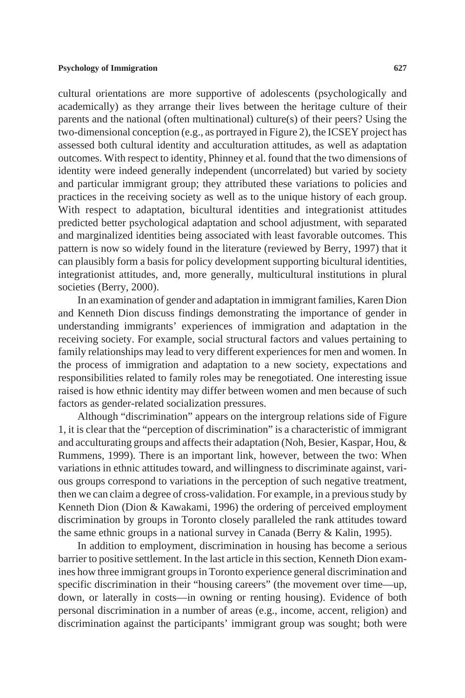cultural orientations are more supportive of adolescents (psychologically and academically) as they arrange their lives between the heritage culture of their parents and the national (often multinational) culture(s) of their peers? Using the two-dimensional conception (e.g., as portrayed in Figure 2), the ICSEY project has assessed both cultural identity and acculturation attitudes, as well as adaptation outcomes. With respect to identity, Phinney et al. found that the two dimensions of identity were indeed generally independent (uncorrelated) but varied by society and particular immigrant group; they attributed these variations to policies and practices in the receiving society as well as to the unique history of each group. With respect to adaptation, bicultural identities and integrationist attitudes predicted better psychological adaptation and school adjustment, with separated and marginalized identities being associated with least favorable outcomes. This pattern is now so widely found in the literature (reviewed by Berry, 1997) that it can plausibly form a basis for policy development supporting bicultural identities, integrationist attitudes, and, more generally, multicultural institutions in plural societies (Berry, 2000).

In an examination of gender and adaptation in immigrant families, Karen Dion and Kenneth Dion discuss findings demonstrating the importance of gender in understanding immigrants' experiences of immigration and adaptation in the receiving society. For example, social structural factors and values pertaining to family relationships may lead to very different experiences for men and women. In the process of immigration and adaptation to a new society, expectations and responsibilities related to family roles may be renegotiated. One interesting issue raised is how ethnic identity may differ between women and men because of such factors as gender-related socialization pressures.

Although "discrimination" appears on the intergroup relations side of Figure 1, it is clear that the "perception of discrimination" is a characteristic of immigrant and acculturating groups and affects their adaptation (Noh, Besier, Kaspar, Hou, & Rummens, 1999). There is an important link, however, between the two: When variations in ethnic attitudes toward, and willingness to discriminate against, various groups correspond to variations in the perception of such negative treatment, then we can claim a degree of cross-validation. For example, in a previous study by Kenneth Dion (Dion & Kawakami, 1996) the ordering of perceived employment discrimination by groups in Toronto closely paralleled the rank attitudes toward the same ethnic groups in a national survey in Canada (Berry & Kalin, 1995).

In addition to employment, discrimination in housing has become a serious barrier to positive settlement. In the last article in this section, Kenneth Dion examines how three immigrant groups in Toronto experience general discrimination and specific discrimination in their "housing careers" (the movement over time—up, down, or laterally in costs—in owning or renting housing). Evidence of both personal discrimination in a number of areas (e.g., income, accent, religion) and discrimination against the participants' immigrant group was sought; both were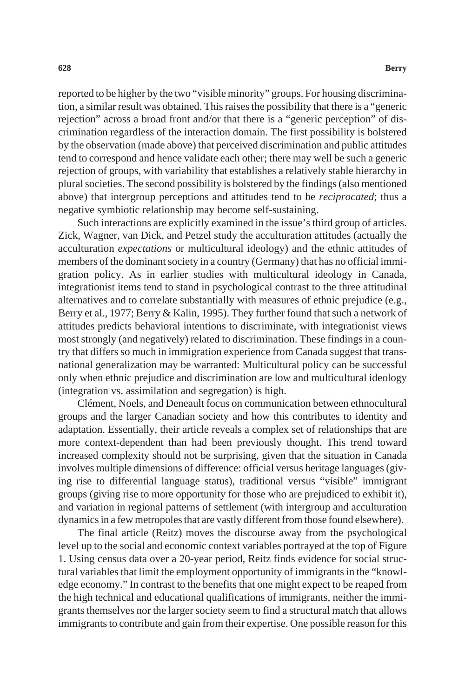reported to be higher by the two "visible minority" groups. For housing discrimination, a similar result was obtained. This raises the possibility that there is a "generic rejection" across a broad front and/or that there is a "generic perception" of discrimination regardless of the interaction domain. The first possibility is bolstered by the observation (made above) that perceived discrimination and public attitudes tend to correspond and hence validate each other; there may well be such a generic rejection of groups, with variability that establishes a relatively stable hierarchy in plural societies. The second possibility is bolstered by the findings (also mentioned above) that intergroup perceptions and attitudes tend to be *reciprocated*; thus a negative symbiotic relationship may become self-sustaining.

Such interactions are explicitly examined in the issue's third group of articles. Zick, Wagner, van Dick, and Petzel study the acculturation attitudes (actually the acculturation *expectations* or multicultural ideology) and the ethnic attitudes of members of the dominant society in a country (Germany) that has no official immigration policy. As in earlier studies with multicultural ideology in Canada, integrationist items tend to stand in psychological contrast to the three attitudinal alternatives and to correlate substantially with measures of ethnic prejudice (e.g., Berry et al., 1977; Berry & Kalin, 1995). They further found that such a network of attitudes predicts behavioral intentions to discriminate, with integrationist views most strongly (and negatively) related to discrimination. These findings in a country that differs so much in immigration experience from Canada suggest that transnational generalization may be warranted: Multicultural policy can be successful only when ethnic prejudice and discrimination are low and multicultural ideology (integration vs. assimilation and segregation) is high.

Clément, Noels, and Deneault focus on communication between ethnocultural groups and the larger Canadian society and how this contributes to identity and adaptation. Essentially, their article reveals a complex set of relationships that are more context-dependent than had been previously thought. This trend toward increased complexity should not be surprising, given that the situation in Canada involves multiple dimensions of difference: official versus heritage languages (giving rise to differential language status), traditional versus "visible" immigrant groups (giving rise to more opportunity for those who are prejudiced to exhibit it), and variation in regional patterns of settlement (with intergroup and acculturation dynamics in a few metropoles that are vastly different from those found elsewhere).

The final article (Reitz) moves the discourse away from the psychological level up to the social and economic context variables portrayed at the top of Figure 1. Using census data over a 20-year period, Reitz finds evidence for social structural variables that limit the employment opportunity of immigrants in the "knowledge economy." In contrast to the benefits that one might expect to be reaped from the high technical and educational qualifications of immigrants, neither the immigrants themselves nor the larger society seem to find a structural match that allows immigrants to contribute and gain from their expertise. One possible reason for this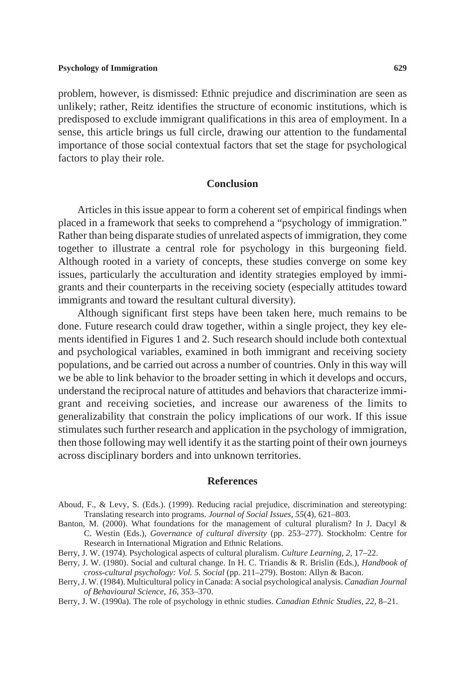problem, however, is dismissed: Ethnic prejudice and discrimination are seen as unlikely; rather, Reitz identifies the structure of economic institutions, which is predisposed to exclude immigrant qualifications in this area of employment. In a sense, this article brings us full circle, drawing our attention to the fundamental importance of those social contextual factors that set the stage for psychological factors to play their role.

# **Conclusion**

Articles in this issue appear to form a coherent set of empirical findings when placed in a framework that seeks to comprehend a "psychology of immigration." Rather than being disparate studies of unrelated aspects of immigration, they come together to illustrate a central role for psychology in this burgeoning field. Although rooted in a variety of concepts, these studies converge on some key issues, particularly the acculturation and identity strategies employed by immigrants and their counterparts in the receiving society (especially attitudes toward immigrants and toward the resultant cultural diversity).

Although significant first steps have been taken here, much remains to be done. Future research could draw together, within a single project, they key elements identified in Figures 1 and 2. Such research should include both contextual and psychological variables, examined in both immigrant and receiving society populations, and be carried out across a number of countries. Only in this way will we be able to link behavior to the broader setting in which it develops and occurs, understand the reciprocal nature of attitudes and behaviors that characterize immigrant and receiving societies, and increase our awareness of the limits to generalizability that constrain the policy implications of our work. If this issue stimulates such further research and application in the psychology of immigration, then those following may well identify it as the starting point of their own journeys across disciplinary borders and into unknown territories.

## **References**

- Aboud, F., & Levy, S. (Eds.). (1999). Reducing racial prejudice, discrimination and stereotyping: Translating research into programs. *Journal of Social Issues, 55*(4), 621–803.
- Banton, M. (2000). What foundations for the management of cultural pluralism? In J. Dacyl  $\&$ C. Westin (Eds.), *Governance of cultural diversity* (pp. 253–277). Stockholm: Centre for Research in International Migration and Ethnic Relations.
- Berry, J. W. (1974). Psychological aspects of cultural pluralism. *Culture Learning, 2*, 17–22.
- Berry, J. W. (1980). Social and cultural change. In H. C. Triandis & R. Brislin (Eds.), *Handbook of cross-cultural psychology: Vol. 5. Social* (pp. 211–279). Boston: Allyn & Bacon.
- Berry, J. W. (1984). Multicultural policy in Canada: A social psychological analysis. *Canadian Journal of Behavioural Science*, *16*, 353–370.
- Berry, J. W. (1990a). The role of psychology in ethnic studies. *Canadian Ethnic Studies, 22*, 8–21.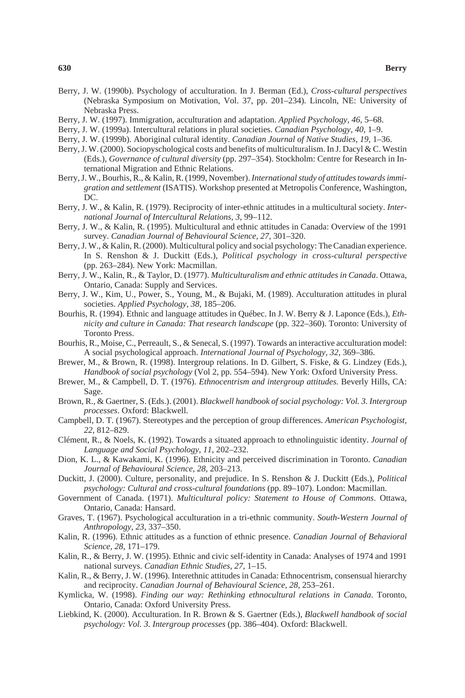- Berry, J. W. (1990b). Psychology of acculturation. In J. Berman (Ed.), *Cross-cultural perspectives* (Nebraska Symposium on Motivation, Vol. 37, pp. 201–234). Lincoln, NE: University of Nebraska Press.
- Berry, J. W. (1997). Immigration, acculturation and adaptation. *Applied Psychology, 46*, 5–68.
- Berry, J. W. (1999a). Intercultural relations in plural societies. *Canadian Psychology, 40*, 1–9.
- Berry, J. W. (1999b). Aboriginal cultural identity. *Canadian Journal of Native Studies, 19*, 1–36.
- Berry, J. W. (2000). Sociopyschological costs and benefits of multiculturalism. In J. Dacyl & C. Westin (Eds.), *Governance of cultural diversity* (pp. 297–354). Stockholm: Centre for Research in International Migration and Ethnic Relations.
- Berry, J. W., Bourhis, R., & Kalin, R. (1999, November). *International study of attitudes towards immigration and settlement* (ISATIS). Workshop presented at Metropolis Conference, Washington, DC.
- Berry, J. W., & Kalin, R. (1979). Reciprocity of inter-ethnic attitudes in a multicultural society. *International Journal of Intercultural Relations, 3*, 99–112.
- Berry, J. W., & Kalin, R. (1995). Multicultural and ethnic attitudes in Canada: Overview of the 1991 survey. *Canadian Journal of Behavioural Science, 27*, 301–320.
- Berry, J. W., & Kalin, R. (2000). Multicultural policy and social psychology: The Canadian experience. In S. Renshon & J. Duckitt (Eds.), *Political psychology in cross-cultural perspective* (pp. 263–284). New York: Macmillan.
- Berry, J. W., Kalin, R., & Taylor, D. (1977). *Multiculturalism and ethnic attitudes in Canada*. Ottawa, Ontario, Canada: Supply and Services.
- Berry, J. W., Kim, U., Power, S., Young, M., & Bujaki, M. (1989). Acculturation attitudes in plural societies. *Applied Psychology, 38*, 185–206.
- Bourhis, R. (1994). Ethnic and language attitudes in Québec. In J. W. Berry & J. Laponce (Eds.), *Ethnicity and culture in Canada: That research landscape* (pp. 322–360). Toronto: University of Toronto Press.
- Bourhis, R., Moise, C., Perreault, S., & Senecal, S. (1997). Towards an interactive acculturation model: A social psychological approach. *International Journal of Psychology, 32*, 369–386.
- Brewer, M., & Brown, R. (1998). Intergroup relations. In D. Gilbert, S. Fiske, & G. Lindzey (Eds.), *Handbook of social psychology* (Vol 2, pp. 554–594). New York: Oxford University Press.
- Brewer, M., & Campbell, D. T. (1976). *Ethnocentrism and intergroup attitudes*. Beverly Hills, CA: Sage.
- Brown, R., & Gaertner, S. (Eds.). (2001). *Blackwell handbook of social psychology: Vol. 3. Intergroup processes*. Oxford: Blackwell.
- Campbell, D. T. (1967). Stereotypes and the perception of group differences. *American Psychologist, 22*, 812–829.
- Clément, R., & Noels, K. (1992). Towards a situated approach to ethnolinguistic identity. *Journal of Language and Social Psychology, 11*, 202–232.
- Dion, K. L., & Kawakami, K. (1996). Ethnicity and perceived discrimination in Toronto. *Canadian Journal of Behavioural Science, 28*, 203–213.
- Duckitt, J. (2000). Culture, personality, and prejudice. In S. Renshon & J. Duckitt (Eds.), *Political psychology: Cultural and cross-cultural foundations* (pp. 89–107). London: Macmillan.
- Government of Canada. (1971). *Multicultural policy: Statement to House of Commons*. Ottawa, Ontario, Canada: Hansard.
- Graves, T. (1967). Psychological acculturation in a tri-ethnic community. *South-Western Journal of Anthropology*, *23*, 337–350.
- Kalin, R. (1996). Ethnic attitudes as a function of ethnic presence. *Canadian Journal of Behavioral Science, 28*, 171–179.
- Kalin, R., & Berry, J. W. (1995). Ethnic and civic self-identity in Canada: Analyses of 1974 and 1991 national surveys. *Canadian Ethnic Studies*, *27*, 1–15.
- Kalin, R., & Berry, J. W. (1996). Interethnic attitudes in Canada: Ethnocentrism, consensual hierarchy and reciprocity. *Canadian Journal of Behavioural Science, 28*, 253–261.
- Kymlicka, W. (1998). *Finding our way: Rethinking ethnocultural relations in Canada*. Toronto, Ontario, Canada: Oxford University Press.
- Liebkind, K. (2000). Acculturation. In R. Brown & S. Gaertner (Eds.), *Blackwell handbook of social psychology: Vol. 3. Intergroup processes* (pp. 386–404). Oxford: Blackwell.